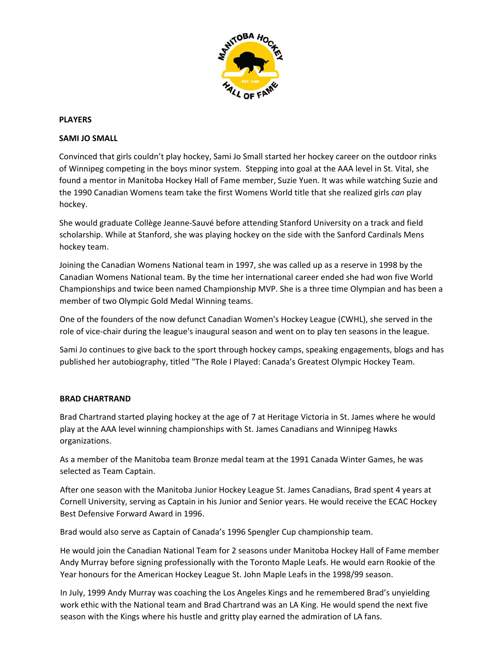

#### **PLAYERS**

#### **SAMI JO SMALL**

Convinced that girls couldn't play hockey, Sami Jo Small started her hockey career on the outdoor rinks of Winnipeg competing in the boys minor system. Stepping into goal at the AAA level in St. Vital, she found a mentor in Manitoba Hockey Hall of Fame member, Suzie Yuen. It was while watching Suzie and the 1990 Canadian Womens team take the first Womens World title that she realized girls *can* play hockey.

She would graduate Collège Jeanne‐Sauvé before attending Stanford University on a track and field scholarship. While at Stanford, she was playing hockey on the side with the Sanford Cardinals Mens hockey team.

Joining the Canadian Womens National team in 1997, she was called up as a reserve in 1998 by the Canadian Womens National team. By the time her international career ended she had won five World Championships and twice been named Championship MVP. She is a three time Olympian and has been a member of two Olympic Gold Medal Winning teams.

One of the founders of the now defunct Canadian Women's Hockey League (CWHL), she served in the role of vice‐chair during the league's inaugural season and went on to play ten seasons in the league.

Sami Jo continues to give back to the sport through hockey camps, speaking engagements, blogs and has published her autobiography, titled "The Role I Played: Canada's Greatest Olympic Hockey Team.

#### **BRAD CHARTRAND**

Brad Chartrand started playing hockey at the age of 7 at Heritage Victoria in St. James where he would play at the AAA level winning championships with St. James Canadians and Winnipeg Hawks organizations.

As a member of the Manitoba team Bronze medal team at the 1991 Canada Winter Games, he was selected as Team Captain.

After one season with the Manitoba Junior Hockey League St. James Canadians, Brad spent 4 years at Cornell University, serving as Captain in his Junior and Senior years. He would receive the ECAC Hockey Best Defensive Forward Award in 1996.

Brad would also serve as Captain of Canada's 1996 Spengler Cup championship team.

He would join the Canadian National Team for 2 seasons under Manitoba Hockey Hall of Fame member Andy Murray before signing professionally with the Toronto Maple Leafs. He would earn Rookie of the Year honours for the American Hockey League St. John Maple Leafs in the 1998/99 season.

In July, 1999 Andy Murray was coaching the Los Angeles Kings and he remembered Brad's unyielding work ethic with the National team and Brad Chartrand was an LA King. He would spend the next five season with the Kings where his hustle and gritty play earned the admiration of LA fans.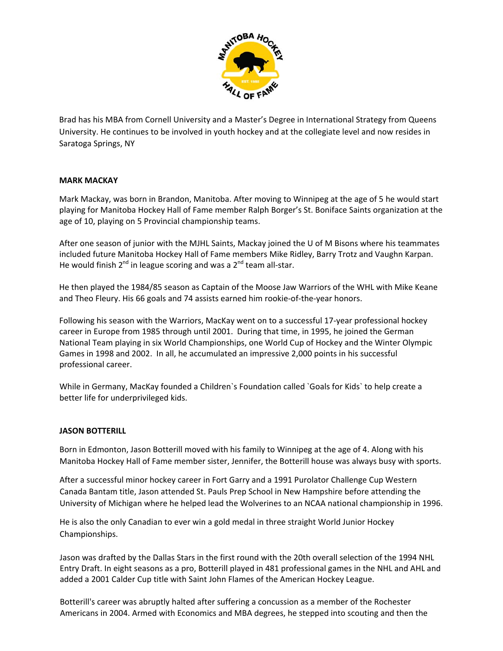

Brad has his MBA from Cornell University and a Master's Degree in International Strategy from Queens University. He continues to be involved in youth hockey and at the collegiate level and now resides in Saratoga Springs, NY

## **MARK MACKAY**

Mark Mackay, was born in Brandon, Manitoba. After moving to Winnipeg at the age of 5 he would start playing for Manitoba Hockey Hall of Fame member Ralph Borger's St. Boniface Saints organization at the age of 10, playing on 5 Provincial championship teams.

After one season of junior with the MJHL Saints, Mackay joined the U of M Bisons where his teammates included future Manitoba Hockey Hall of Fame members Mike Ridley, Barry Trotz and Vaughn Karpan. He would finish  $2^{nd}$  in league scoring and was a  $2^{nd}$  team all-star.

He then played the 1984/85 season as Captain of the Moose Jaw Warriors of the WHL with Mike Keane and Theo Fleury. His 66 goals and 74 assists earned him rookie‐of‐the‐year honors.

Following his season with the Warriors, MacKay went on to a successful 17‐year professional hockey career in Europe from 1985 through until 2001. During that time, in 1995, he joined the German National Team playing in six World Championships, one World Cup of Hockey and the Winter Olympic Games in 1998 and 2002. In all, he accumulated an impressive 2,000 points in his successful professional career.

While in Germany, MacKay founded a Children`s Foundation called `Goals for Kids` to help create a better life for underprivileged kids.

### **JASON BOTTERILL**

Born in Edmonton, Jason Botterill moved with his family to Winnipeg at the age of 4. Along with his Manitoba Hockey Hall of Fame member sister, Jennifer, the Botterill house was always busy with sports.

After a successful minor hockey career in Fort Garry and a 1991 Purolator Challenge Cup Western Canada Bantam title, Jason attended St. Pauls Prep School in New Hampshire before attending the University of Michigan where he helped lead the Wolverines to an NCAA national championship in 1996.

He is also the only Canadian to ever win a gold medal in three straight World Junior Hockey Championships.

Jason was drafted by the Dallas Stars in the first round with the 20th overall selection of the 1994 NHL Entry Draft. In eight seasons as a pro, Botterill played in 481 professional games in the NHL and AHL and added a 2001 Calder Cup title with Saint John Flames of the American Hockey League.

Botterill's career was abruptly halted after suffering a concussion as a member of the Rochester Americans in 2004. Armed with Economics and MBA degrees, he stepped into scouting and then the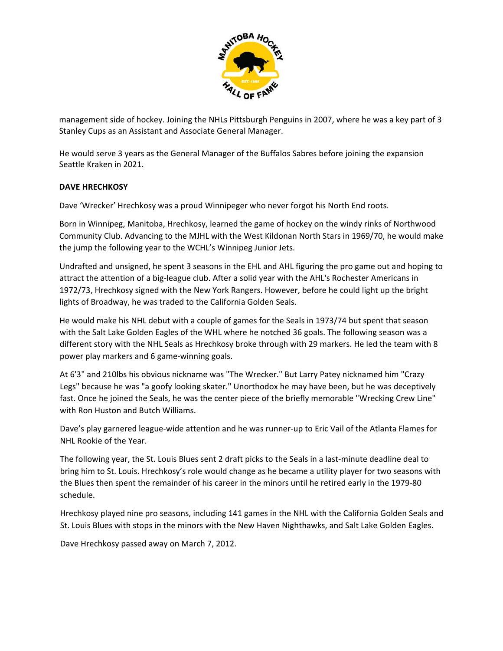

management side of hockey. Joining the NHLs Pittsburgh Penguins in 2007, where he was a key part of 3 Stanley Cups as an Assistant and Associate General Manager.

He would serve 3 years as the General Manager of the Buffalos Sabres before joining the expansion Seattle Kraken in 2021.

# **DAVE HRECHKOSY**

Dave 'Wrecker' Hrechkosy was a proud Winnipeger who never forgot his North End roots.

Born in Winnipeg, Manitoba, Hrechkosy, learned the game of hockey on the windy rinks of Northwood Community Club. Advancing to the MJHL with the West Kildonan North Stars in 1969/70, he would make the jump the following year to the WCHL's Winnipeg Junior Jets.

Undrafted and unsigned, he spent 3 seasons in the EHL and AHL figuring the pro game out and hoping to attract the attention of a big‐league club. After a solid year with the AHL's Rochester Americans in 1972/73, Hrechkosy signed with the New York Rangers. However, before he could light up the bright lights of Broadway, he was traded to the California Golden Seals.

He would make his NHL debut with a couple of games for the Seals in 1973/74 but spent that season with the Salt Lake Golden Eagles of the WHL where he notched 36 goals. The following season was a different story with the NHL Seals as Hrechkosy broke through with 29 markers. He led the team with 8 power play markers and 6 game‐winning goals.

At 6'3" and 210lbs his obvious nickname was "The Wrecker." But Larry Patey nicknamed him "Crazy Legs" because he was "a goofy looking skater." Unorthodox he may have been, but he was deceptively fast. Once he joined the Seals, he was the center piece of the briefly memorable "Wrecking Crew Line" with Ron Huston and Butch Williams.

Dave's play garnered league‐wide attention and he was runner‐up to Eric Vail of the Atlanta Flames for NHL Rookie of the Year.

The following year, the St. Louis Blues sent 2 draft picks to the Seals in a last-minute deadline deal to bring him to St. Louis. Hrechkosy's role would change as he became a utility player for two seasons with the Blues then spent the remainder of his career in the minors until he retired early in the 1979‐80 schedule.

Hrechkosy played nine pro seasons, including 141 games in the NHL with the California Golden Seals and St. Louis Blues with stops in the minors with the New Haven Nighthawks, and Salt Lake Golden Eagles.

Dave Hrechkosy passed away on March 7, 2012.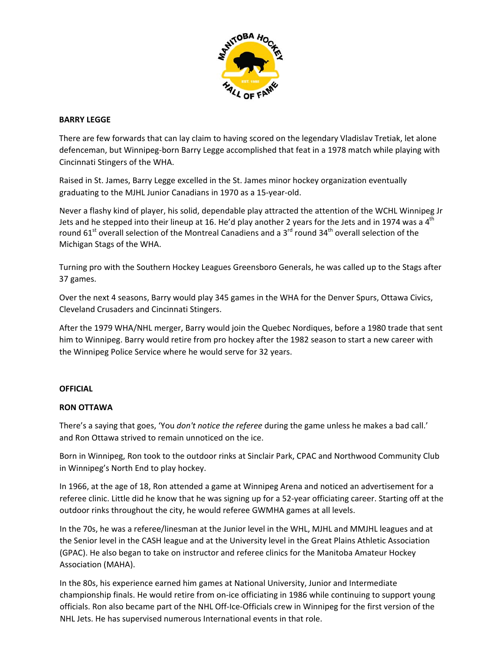

### **BARRY LEGGE**

There are few forwards that can lay claim to having scored on the legendary Vladislav Tretiak, let alone defenceman, but Winnipeg‐born Barry Legge accomplished that feat in a 1978 match while playing with Cincinnati Stingers of the WHA.

Raised in St. James, Barry Legge excelled in the St. James minor hockey organization eventually graduating to the MJHL Junior Canadians in 1970 as a 15‐year‐old.

Never a flashy kind of player, his solid, dependable play attracted the attention of the WCHL Winnipeg Jr Jets and he stepped into their lineup at 16. He'd play another 2 years for the Jets and in 1974 was a  $4<sup>th</sup>$ round 61<sup>st</sup> overall selection of the Montreal Canadiens and a 3<sup>rd</sup> round 34<sup>th</sup> overall selection of the Michigan Stags of the WHA.

Turning pro with the Southern Hockey Leagues Greensboro Generals, he was called up to the Stags after 37 games.

Over the next 4 seasons, Barry would play 345 games in the WHA for the Denver Spurs, Ottawa Civics, Cleveland Crusaders and Cincinnati Stingers.

After the 1979 WHA/NHL merger, Barry would join the Quebec Nordiques, before a 1980 trade that sent him to Winnipeg. Barry would retire from pro hockey after the 1982 season to start a new career with the Winnipeg Police Service where he would serve for 32 years.

### **OFFICIAL**

### **RON OTTAWA**

There's a saying that goes, 'You *don't notice the referee* during the game unless he makes a bad call.' and Ron Ottawa strived to remain unnoticed on the ice.

Born in Winnipeg, Ron took to the outdoor rinks at Sinclair Park, CPAC and Northwood Community Club in Winnipeg's North End to play hockey.

In 1966, at the age of 18, Ron attended a game at Winnipeg Arena and noticed an advertisement for a referee clinic. Little did he know that he was signing up for a 52‐year officiating career. Starting off at the outdoor rinks throughout the city, he would referee GWMHA games at all levels.

In the 70s, he was a referee/linesman at the Junior level in the WHL, MJHL and MMJHL leagues and at the Senior level in the CASH league and at the University level in the Great Plains Athletic Association (GPAC). He also began to take on instructor and referee clinics for the Manitoba Amateur Hockey Association (MAHA).

In the 80s, his experience earned him games at National University, Junior and Intermediate championship finals. He would retire from on‐ice officiating in 1986 while continuing to support young officials. Ron also became part of the NHL Off‐Ice‐Officials crew in Winnipeg for the first version of the NHL Jets. He has supervised numerous International events in that role.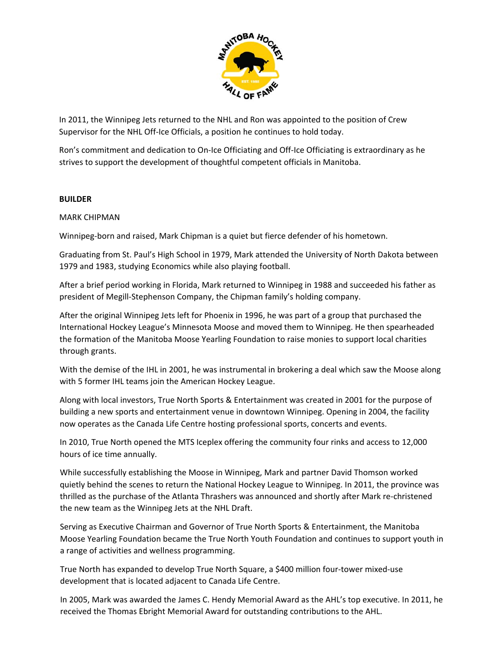

In 2011, the Winnipeg Jets returned to the NHL and Ron was appointed to the position of Crew Supervisor for the NHL Off-Ice Officials, a position he continues to hold today.

Ron's commitment and dedication to On-Ice Officiating and Off-Ice Officiating is extraordinary as he strives to support the development of thoughtful competent officials in Manitoba.

## **BUILDER**

## MARK CHIPMAN

Winnipeg‐born and raised, Mark Chipman is a quiet but fierce defender of his hometown.

Graduating from St. Paul's High School in 1979, Mark attended the University of North Dakota between 1979 and 1983, studying Economics while also playing football.

After a brief period working in Florida, Mark returned to Winnipeg in 1988 and succeeded his father as president of Megill‐Stephenson Company, the Chipman family's holding company.

After the original Winnipeg Jets left for Phoenix in 1996, he was part of a group that purchased the International Hockey League's Minnesota Moose and moved them to Winnipeg. He then spearheaded the formation of the Manitoba Moose Yearling Foundation to raise monies to support local charities through grants.

With the demise of the IHL in 2001, he was instrumental in brokering a deal which saw the Moose along with 5 former IHL teams join the American Hockey League.

Along with local investors, True North Sports & Entertainment was created in 2001 for the purpose of building a new sports and entertainment venue in downtown Winnipeg. Opening in 2004, the facility now operates as the Canada Life Centre hosting professional sports, concerts and events.

In 2010, True North opened the MTS Iceplex offering the community four rinks and access to 12,000 hours of ice time annually.

While successfully establishing the Moose in Winnipeg, Mark and partner David Thomson worked quietly behind the scenes to return the National Hockey League to Winnipeg. In 2011, the province was thrilled as the purchase of the Atlanta Thrashers was announced and shortly after Mark re‐christened the new team as the Winnipeg Jets at the NHL Draft.

Serving as Executive Chairman and Governor of True North Sports & Entertainment, the Manitoba Moose Yearling Foundation became the True North Youth Foundation and continues to support youth in a range of activities and wellness programming.

True North has expanded to develop True North Square, a \$400 million four‐tower mixed‐use development that is located adjacent to Canada Life Centre.

In 2005, Mark was awarded the James C. Hendy Memorial Award as the AHL's top executive. In 2011, he received the Thomas Ebright Memorial Award for outstanding contributions to the AHL.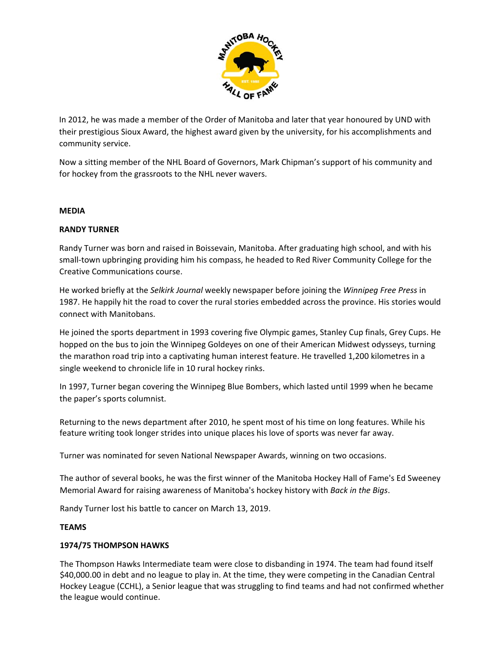

In 2012, he was made a member of the Order of Manitoba and later that year honoured by UND with their prestigious Sioux Award, the highest award given by the university, for his accomplishments and community service.

Now a sitting member of the NHL Board of Governors, Mark Chipman's support of his community and for hockey from the grassroots to the NHL never wavers.

### **MEDIA**

### **RANDY TURNER**

Randy Turner was born and raised in Boissevain, Manitoba. After graduating high school, and with his small‐town upbringing providing him his compass, he headed to Red River Community College for the Creative Communications course.

He worked briefly at the *Selkirk Journal* weekly newspaper before joining the *Winnipeg Free Press* in 1987. He happily hit the road to cover the rural stories embedded across the province. His stories would connect with Manitobans.

He joined the sports department in 1993 covering five Olympic games, Stanley Cup finals, Grey Cups. He hopped on the bus to join the Winnipeg Goldeyes on one of their American Midwest odysseys, turning the marathon road trip into a captivating human interest feature. He travelled 1,200 kilometres in a single weekend to chronicle life in 10 rural hockey rinks.

In 1997, Turner began covering the Winnipeg Blue Bombers, which lasted until 1999 when he became the paper's sports columnist.

Returning to the news department after 2010, he spent most of his time on long features. While his feature writing took longer strides into unique places his love of sports was never far away.

Turner was nominated for seven National Newspaper Awards, winning on two occasions.

The author of several books, he was the first winner of the Manitoba Hockey Hall of Fame's Ed Sweeney Memorial Award for raising awareness of Manitoba's hockey history with *Back in the Bigs*.

Randy Turner lost his battle to cancer on March 13, 2019.

### **TEAMS**

### **1974/75 THOMPSON HAWKS**

The Thompson Hawks Intermediate team were close to disbanding in 1974. The team had found itself \$40,000.00 in debt and no league to play in. At the time, they were competing in the Canadian Central Hockey League (CCHL), a Senior league that was struggling to find teams and had not confirmed whether the league would continue.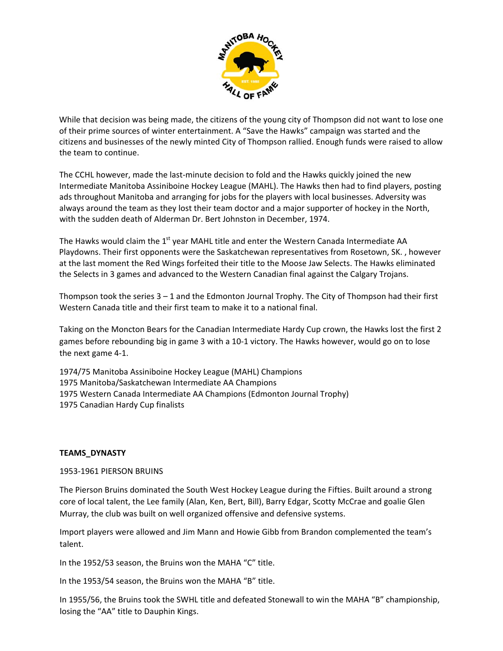

While that decision was being made, the citizens of the young city of Thompson did not want to lose one of their prime sources of winter entertainment. A "Save the Hawks" campaign was started and the citizens and businesses of the newly minted City of Thompson rallied. Enough funds were raised to allow the team to continue.

The CCHL however, made the last-minute decision to fold and the Hawks quickly joined the new Intermediate Manitoba Assiniboine Hockey League (MAHL). The Hawks then had to find players, posting ads throughout Manitoba and arranging for jobs for the players with local businesses. Adversity was always around the team as they lost their team doctor and a major supporter of hockey in the North, with the sudden death of Alderman Dr. Bert Johnston in December, 1974.

The Hawks would claim the  $1<sup>st</sup>$  year MAHL title and enter the Western Canada Intermediate AA Playdowns. Their first opponents were the Saskatchewan representatives from Rosetown, SK. , however at the last moment the Red Wings forfeited their title to the Moose Jaw Selects. The Hawks eliminated the Selects in 3 games and advanced to the Western Canadian final against the Calgary Trojans.

Thompson took the series  $3 - 1$  and the Edmonton Journal Trophy. The City of Thompson had their first Western Canada title and their first team to make it to a national final.

Taking on the Moncton Bears for the Canadian Intermediate Hardy Cup crown, the Hawks lost the first 2 games before rebounding big in game 3 with a 10‐1 victory. The Hawks however, would go on to lose the next game 4‐1.

1974/75 Manitoba Assiniboine Hockey League (MAHL) Champions Manitoba/Saskatchewan Intermediate AA Champions Western Canada Intermediate AA Champions (Edmonton Journal Trophy) Canadian Hardy Cup finalists

# **TEAMS\_DYNASTY**

1953‐1961 PIERSON BRUINS

The Pierson Bruins dominated the South West Hockey League during the Fifties. Built around a strong core of local talent, the Lee family (Alan, Ken, Bert, Bill), Barry Edgar, Scotty McCrae and goalie Glen Murray, the club was built on well organized offensive and defensive systems.

Import players were allowed and Jim Mann and Howie Gibb from Brandon complemented the team's talent.

In the 1952/53 season, the Bruins won the MAHA "C" title.

In the 1953/54 season, the Bruins won the MAHA "B" title.

In 1955/56, the Bruins took the SWHL title and defeated Stonewall to win the MAHA "B" championship, losing the "AA" title to Dauphin Kings.